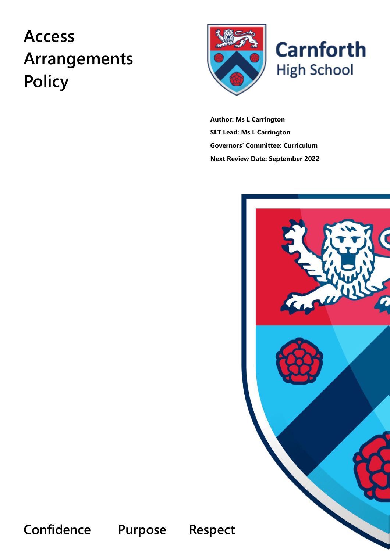# **Access Arrangements Policy**



**Carnforth High School** 

**Author: Ms L Carrington SLT Lead: Ms L Carrington Governors' Committee: Curriculum Next Review Date: September 2022**



**Confidence Purpose Respect**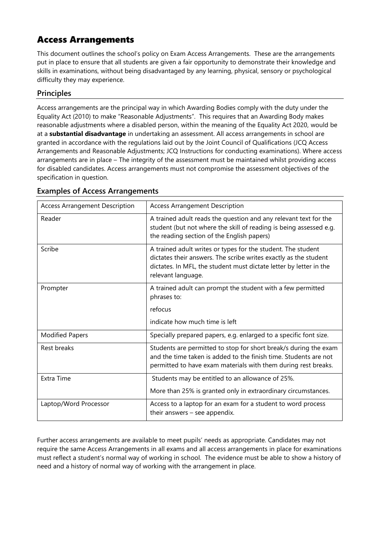## Access Arrangements

This document outlines the school's policy on Exam Access Arrangements. These are the arrangements put in place to ensure that all students are given a fair opportunity to demonstrate their knowledge and skills in examinations, without being disadvantaged by any learning, physical, sensory or psychological difficulty they may experience.

## **Principles**

Access arrangements are the principal way in which Awarding Bodies comply with the duty under the Equality Act (2010) to make "Reasonable Adjustments". This requires that an Awarding Body makes reasonable adjustments where a disabled person, within the meaning of the Equality Act 2020, would be at a **substantial disadvantage** in undertaking an assessment. All access arrangements in school are granted in accordance with the regulations laid out by the Joint Council of Qualifications (JCQ Access Arrangements and Reasonable Adjustments; JCQ Instructions for conducting examinations). Where access arrangements are in place – The integrity of the assessment must be maintained whilst providing access for disabled candidates. Access arrangements must not compromise the assessment objectives of the specification in question.

| <b>Access Arrangement Description</b> | <b>Access Arrangement Description</b>                                                                                                                                                                                        |
|---------------------------------------|------------------------------------------------------------------------------------------------------------------------------------------------------------------------------------------------------------------------------|
| Reader                                | A trained adult reads the question and any relevant text for the<br>student (but not where the skill of reading is being assessed e.g.<br>the reading section of the English papers)                                         |
| Scribe                                | A trained adult writes or types for the student. The student<br>dictates their answers. The scribe writes exactly as the student<br>dictates. In MFL, the student must dictate letter by letter in the<br>relevant language. |
| Prompter                              | A trained adult can prompt the student with a few permitted<br>phrases to:<br>refocus<br>indicate how much time is left                                                                                                      |
| <b>Modified Papers</b>                | Specially prepared papers, e.g. enlarged to a specific font size.                                                                                                                                                            |
| Rest breaks                           | Students are permitted to stop for short break/s during the exam<br>and the time taken is added to the finish time. Students are not<br>permitted to have exam materials with them during rest breaks.                       |
| Extra Time                            | Students may be entitled to an allowance of 25%.<br>More than 25% is granted only in extraordinary circumstances.                                                                                                            |
| Laptop/Word Processor                 | Access to a laptop for an exam for a student to word process<br>their answers $-$ see appendix.                                                                                                                              |

#### **Examples of Access Arrangements**

Further access arrangements are available to meet pupils' needs as appropriate. Candidates may not require the same Access Arrangements in all exams and all access arrangements in place for examinations must reflect a student's normal way of working in school. The evidence must be able to show a history of need and a history of normal way of working with the arrangement in place.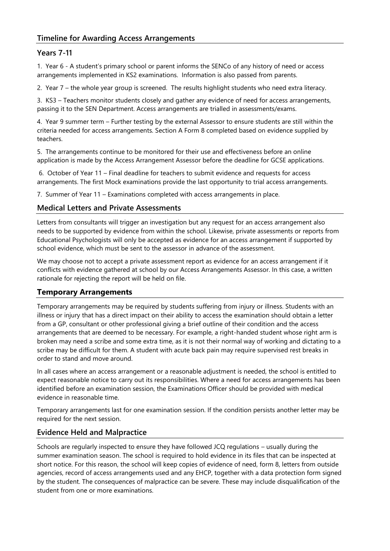#### **Timeline for Awarding Access Arrangements**

#### **Years 7-11**

1. Year 6 - A student's primary school or parent informs the SENCo of any history of need or access arrangements implemented in KS2 examinations. Information is also passed from parents.

2. Year 7 – the whole year group is screened. The results highlight students who need extra literacy.

3. KS3 – Teachers monitor students closely and gather any evidence of need for access arrangements, passing it to the SEN Department. Access arrangements are trialled in assessments/exams.

4. Year 9 summer term – Further testing by the external Assessor to ensure students are still within the criteria needed for access arrangements. Section A Form 8 completed based on evidence supplied by teachers.

5. The arrangements continue to be monitored for their use and effectiveness before an online application is made by the Access Arrangement Assessor before the deadline for GCSE applications.

6. October of Year 11 – Final deadline for teachers to submit evidence and requests for access arrangements. The first Mock examinations provide the last opportunity to trial access arrangements.

7. Summer of Year 11 – Examinations completed with access arrangements in place.

#### **Medical Letters and Private Assessments**

Letters from consultants will trigger an investigation but any request for an access arrangement also needs to be supported by evidence from within the school. Likewise, private assessments or reports from Educational Psychologists will only be accepted as evidence for an access arrangement if supported by school evidence, which must be sent to the assessor in advance of the assessment.

We may choose not to accept a private assessment report as evidence for an access arrangement if it conflicts with evidence gathered at school by our Access Arrangements Assessor. In this case, a written rationale for rejecting the report will be held on file.

#### **Temporary Arrangements**

Temporary arrangements may be required by students suffering from injury or illness. Students with an illness or injury that has a direct impact on their ability to access the examination should obtain a letter from a GP, consultant or other professional giving a brief outline of their condition and the access arrangements that are deemed to be necessary. For example, a right-handed student whose right arm is broken may need a scribe and some extra time, as it is not their normal way of working and dictating to a scribe may be difficult for them. A student with acute back pain may require supervised rest breaks in order to stand and move around.

In all cases where an access arrangement or a reasonable adjustment is needed, the school is entitled to expect reasonable notice to carry out its responsibilities. Where a need for access arrangements has been identified before an examination session, the Examinations Officer should be provided with medical evidence in reasonable time.

Temporary arrangements last for one examination session. If the condition persists another letter may be required for the next session.

#### **Evidence Held and Malpractice**

Schools are regularly inspected to ensure they have followed JCQ regulations – usually during the summer examination season. The school is required to hold evidence in its files that can be inspected at short notice. For this reason, the school will keep copies of evidence of need, form 8, letters from outside agencies, record of access arrangements used and any EHCP, together with a data protection form signed by the student. The consequences of malpractice can be severe. These may include disqualification of the student from one or more examinations.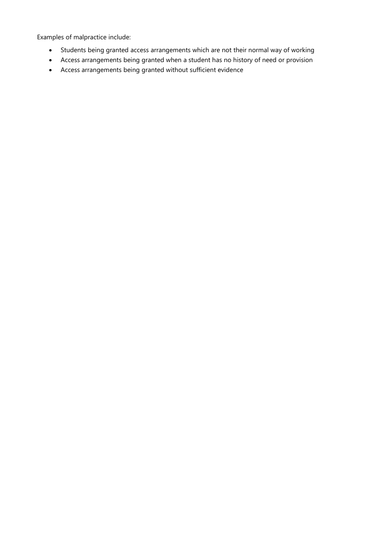Examples of malpractice include:

- Students being granted access arrangements which are not their normal way of working
- Access arrangements being granted when a student has no history of need or provision
- Access arrangements being granted without sufficient evidence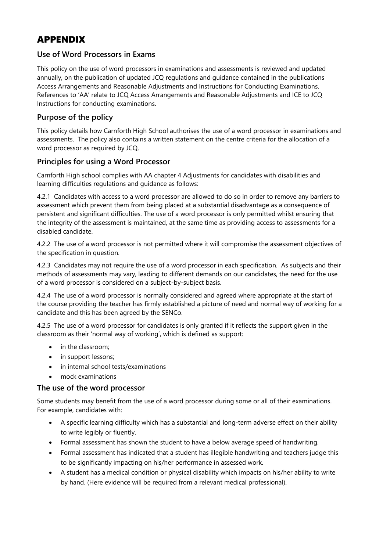# APPENDIX

#### **Use of Word Processors in Exams**

This policy on the use of word processors in examinations and assessments is reviewed and updated annually, on the publication of updated JCQ regulations and guidance contained in the publications Access Arrangements and Reasonable Adjustments and Instructions for Conducting Examinations. References to 'AA' relate to JCQ Access Arrangements and Reasonable Adjustments and ICE to JCQ Instructions for conducting examinations.

### **Purpose of the policy**

This policy details how Carnforth High School authorises the use of a word processor in examinations and assessments. The policy also contains a written statement on the centre criteria for the allocation of a word processor as required by JCQ.

#### **Principles for using a Word Processor**

Carnforth High school complies with AA chapter 4 Adjustments for candidates with disabilities and learning difficulties regulations and guidance as follows:

4.2.1 Candidates with access to a word processor are allowed to do so in order to remove any barriers to assessment which prevent them from being placed at a substantial disadvantage as a consequence of persistent and significant difficulties. The use of a word processor is only permitted whilst ensuring that the integrity of the assessment is maintained, at the same time as providing access to assessments for a disabled candidate.

4.2.2 The use of a word processor is not permitted where it will compromise the assessment objectives of the specification in question.

4.2.3 Candidates may not require the use of a word processor in each specification. As subjects and their methods of assessments may vary, leading to different demands on our candidates, the need for the use of a word processor is considered on a subject-by-subject basis.

4.2.4 The use of a word processor is normally considered and agreed where appropriate at the start of the course providing the teacher has firmly established a picture of need and normal way of working for a candidate and this has been agreed by the SENCo.

4.2.5 The use of a word processor for candidates is only granted if it reflects the support given in the classroom as their 'normal way of working', which is defined as support:

- in the classroom;
- in support lessons;
- in internal school tests/examinations
- mock examinations

#### **The use of the word processor**

Some students may benefit from the use of a word processor during some or all of their examinations. For example, candidates with:

- A specific learning difficulty which has a substantial and long-term adverse effect on their ability to write legibly or fluently.
- Formal assessment has shown the student to have a below average speed of handwriting.
- Formal assessment has indicated that a student has illegible handwriting and teachers judge this to be significantly impacting on his/her performance in assessed work.
- A student has a medical condition or physical disability which impacts on his/her ability to write by hand. (Here evidence will be required from a relevant medical professional).